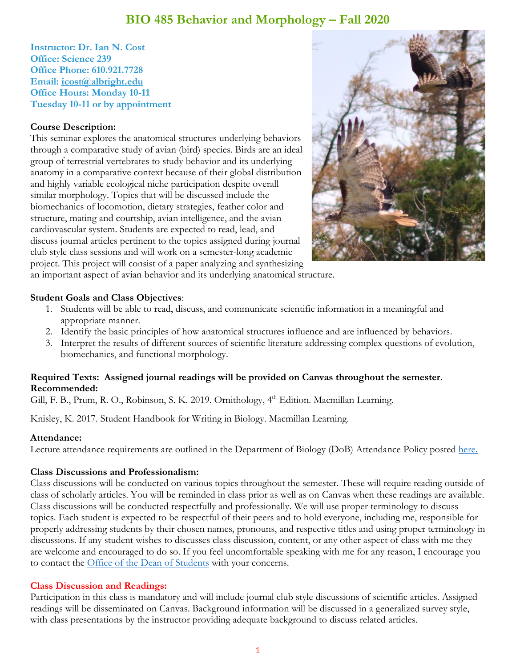## **BIO 485 Behavior and Morphology – Fall 2020**

**Instructor: Dr. Ian N. Cost Office: Science 239 Office Phone: 610.921.7728 Email: [icost@albright.edu](mailto:icost@albright.edu) Office Hours: Monday 10-11 Tuesday 10-11 or by appointment**

#### **Course Description:**

This seminar explores the anatomical structures underlying behaviors through a comparative study of avian (bird) species. Birds are an ideal group of terrestrial vertebrates to study behavior and its underlying anatomy in a comparative context because of their global distribution and highly variable ecological niche participation despite overall similar morphology. Topics that will be discussed include the biomechanics of locomotion, dietary strategies, feather color and structure, mating and courtship, avian intelligence, and the avian cardiovascular system. Students are expected to read, lead, and discuss journal articles pertinent to the topics assigned during journal club style class sessions and will work on a semester-long academic project. This project will consist of a paper analyzing and synthesizing



an important aspect of avian behavior and its underlying anatomical structure.

#### **Student Goals and Class Objectives**:

- 1. Students will be able to read, discuss, and communicate scientific information in a meaningful and appropriate manner.
- 2. Identify the basic principles of how anatomical structures influence and are influenced by behaviors.
- 3. Interpret the results of different sources of scientific literature addressing complex questions of evolution, biomechanics, and functional morphology.

#### **Required Texts: Assigned journal readings will be provided on Canvas throughout the semester. Recommended:**

Gill, F. B., Prum, R. O., Robinson, S. K. 2019. Ornithology, 4<sup>th</sup> Edition. Macmillan Learning.

Knisley, K. 2017. Student Handbook for Writing in Biology. Macmillan Learning.

#### **Attendance:**

Lecture attendance requirements are outlined in the Department of Biology (DoB) Attendance Policy posted [here.](https://www.albright.edu/academic/undergraduate-programs/biology/)

#### **Class Discussions and Professionalism:**

Class discussions will be conducted on various topics throughout the semester. These will require reading outside of class of scholarly articles. You will be reminded in class prior as well as on Canvas when these readings are available. Class discussions will be conducted respectfully and professionally. We will use proper terminology to discuss topics. Each student is expected to be respectful of their peers and to hold everyone, including me, responsible for properly addressing students by their chosen names, pronouns, and respective titles and using proper terminology in discussions. If any student wishes to discusses class discussion, content, or any other aspect of class with me they are welcome and encouraged to do so. If you feel uncomfortable speaking with me for any reason, I encourage you to contact the [Office of the Dean of Students](https://www.albright.edu/student-life/dean-of-students/) with your concerns.

#### **Class Discussion and Readings:**

Participation in this class is mandatory and will include journal club style discussions of scientific articles. Assigned readings will be disseminated on Canvas. Background information will be discussed in a generalized survey style, with class presentations by the instructor providing adequate background to discuss related articles.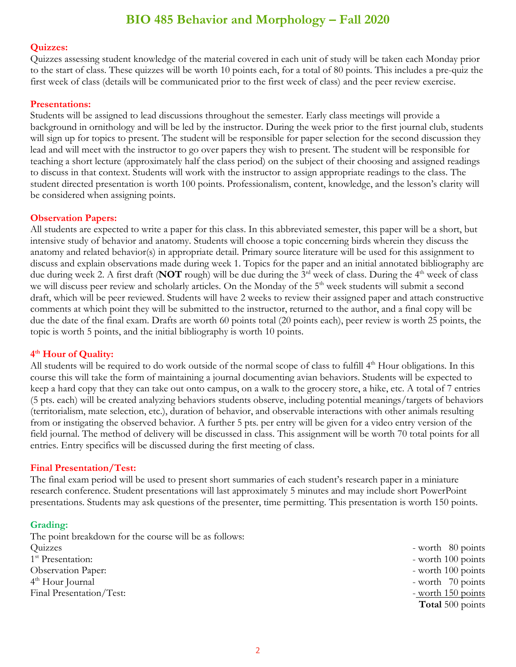## **BIO 485 Behavior and Morphology – Fall 2020**

#### **Quizzes:**

Quizzes assessing student knowledge of the material covered in each unit of study will be taken each Monday prior to the start of class. These quizzes will be worth 10 points each, for a total of 80 points. This includes a pre-quiz the first week of class (details will be communicated prior to the first week of class) and the peer review exercise.

#### **Presentations:**

Students will be assigned to lead discussions throughout the semester. Early class meetings will provide a background in ornithology and will be led by the instructor. During the week prior to the first journal club, students will sign up for topics to present. The student will be responsible for paper selection for the second discussion they lead and will meet with the instructor to go over papers they wish to present. The student will be responsible for teaching a short lecture (approximately half the class period) on the subject of their choosing and assigned readings to discuss in that context. Students will work with the instructor to assign appropriate readings to the class. The student directed presentation is worth 100 points. Professionalism, content, knowledge, and the lesson's clarity will be considered when assigning points.

#### **Observation Papers:**

All students are expected to write a paper for this class. In this abbreviated semester, this paper will be a short, but intensive study of behavior and anatomy. Students will choose a topic concerning birds wherein they discuss the anatomy and related behavior(s) in appropriate detail. Primary source literature will be used for this assignment to discuss and explain observations made during week 1. Topics for the paper and an initial annotated bibliography are due during week 2. A first draft (**NOT** rough) will be due during the 3<sup>rd</sup> week of class. During the 4<sup>th</sup> week of class we will discuss peer review and scholarly articles. On the Monday of the 5<sup>th</sup> week students will submit a second draft, which will be peer reviewed. Students will have 2 weeks to review their assigned paper and attach constructive comments at which point they will be submitted to the instructor, returned to the author, and a final copy will be due the date of the final exam. Drafts are worth 60 points total (20 points each), peer review is worth 25 points, the topic is worth 5 points, and the initial bibliography is worth 10 points.

#### **4 th Hour of Quality:**

All students will be required to do work outside of the normal scope of class to fulfill 4<sup>th</sup> Hour obligations. In this course this will take the form of maintaining a journal documenting avian behaviors. Students will be expected to keep a hard copy that they can take out onto campus, on a walk to the grocery store, a hike, etc. A total of 7 entries (5 pts. each) will be created analyzing behaviors students observe, including potential meanings/targets of behaviors (territorialism, mate selection, etc.), duration of behavior, and observable interactions with other animals resulting from or instigating the observed behavior. A further 5 pts. per entry will be given for a video entry version of the field journal. The method of delivery will be discussed in class. This assignment will be worth 70 total points for all entries. Entry specifics will be discussed during the first meeting of class.

#### **Final Presentation/Test:**

The final exam period will be used to present short summaries of each student's research paper in a miniature research conference. Student presentations will last approximately 5 minutes and may include short PowerPoint presentations. Students may ask questions of the presenter, time permitting. This presentation is worth 150 points.

#### **Grading:**

The point breakdown for the course will be as follows: Quizzes - worth 80 points 1<sup>st</sup> Presentation: Observation Paper:  $\blacksquare$  worth 100 points 4<sup>th</sup> Hour Journal Final Presentation/Test:  $-$  worth 150 points

- worth 100 points - worth 70 points **Total** 500 points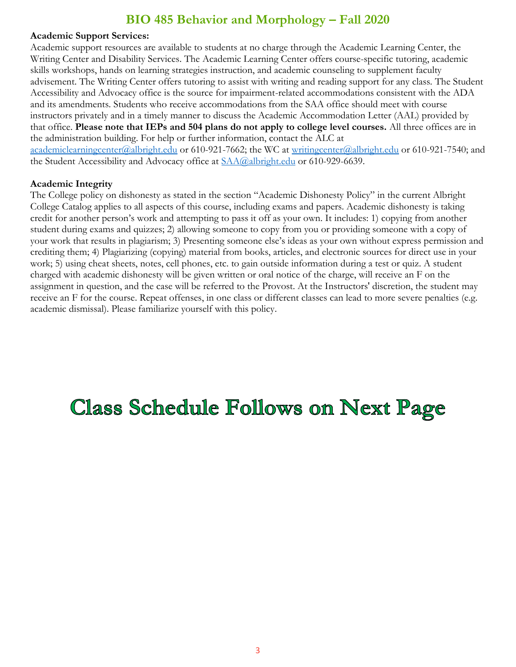## **BIO 485 Behavior and Morphology – Fall 2020**

#### **Academic Support Services:**

Academic support resources are available to students at no charge through the Academic Learning Center, the Writing Center and Disability Services. The Academic Learning Center offers course-specific tutoring, academic skills workshops, hands on learning strategies instruction, and academic counseling to supplement faculty advisement. The Writing Center offers tutoring to assist with writing and reading support for any class. The Student Accessibility and Advocacy office is the source for impairment-related accommodations consistent with the ADA and its amendments. Students who receive accommodations from the SAA office should meet with course instructors privately and in a timely manner to discuss the Academic Accommodation Letter (AAL) provided by that office. **Please note that IEPs and 504 plans do not apply to college level courses.** All three offices are in the administration building. For help or further information, contact the ALC at [academiclearningcenter@albright.edu](mailto:academiclearningcenter@albright.edu) or 610-921-7662; the WC at [writingcenter@albright.edu](mailto:writingcenter@albright.edu) or 610-921-7540; and the Student Accessibility and Advocacy office at  $SAA@albright.edu$  or 610-929-6639.

#### **Academic Integrity**

The College policy on dishonesty as stated in the section "Academic Dishonesty Policy" in the current Albright College Catalog applies to all aspects of this course, including exams and papers. Academic dishonesty is taking credit for another person's work and attempting to pass it off as your own. It includes: 1) copying from another student during exams and quizzes; 2) allowing someone to copy from you or providing someone with a copy of your work that results in plagiarism; 3) Presenting someone else's ideas as your own without express permission and crediting them; 4) Plagiarizing (copying) material from books, articles, and electronic sources for direct use in your work; 5) using cheat sheets, notes, cell phones, etc. to gain outside information during a test or quiz. A student charged with academic dishonesty will be given written or oral notice of the charge, will receive an F on the assignment in question, and the case will be referred to the Provost. At the Instructors' discretion, the student may receive an F for the course. Repeat offenses, in one class or different classes can lead to more severe penalties (e.g. academic dismissal). Please familiarize yourself with this policy.

# **Class Schedule Follows on Next Page**